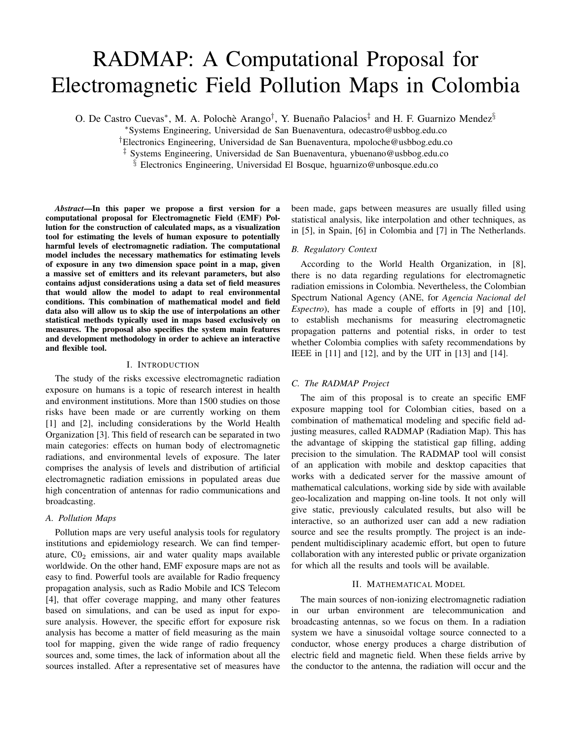# RADMAP: A Computational Proposal for Electromagnetic Field Pollution Maps in Colombia

O. De Castro Cuevas<sup>\*</sup>, M. A. Polochè Arango<sup>†</sup>, Y. Buenaño Palacios<sup>‡</sup> and H. F. Guarnizo Mendez<sup>§</sup>

<sup>∗</sup>Systems Engineering, Universidad de San Buenaventura, odecastro@usbbog.edu.co

†Electronics Engineering, Universidad de San Buenaventura, mpoloche@usbbog.edu.co

‡ Systems Engineering, Universidad de San Buenaventura, ybuenano@usbbog.edu.co

§ Electronics Engineering, Universidad El Bosque, hguarnizo@unbosque.edu.co

*Abstract*—In this paper we propose a first version for a computational proposal for Electromagnetic Field (EMF) Pollution for the construction of calculated maps, as a visualization tool for estimating the levels of human exposure to potentially harmful levels of electromagnetic radiation. The computational model includes the necessary mathematics for estimating levels of exposure in any two dimension space point in a map, given a massive set of emitters and its relevant parameters, but also contains adjust considerations using a data set of field measures that would allow the model to adapt to real environmental conditions. This combination of mathematical model and field data also will allow us to skip the use of interpolations an other statistical methods typically used in maps based exclusively on measures. The proposal also specifies the system main features and development methodology in order to achieve an interactive and flexible tool.

## I. INTRODUCTION

The study of the risks excessive electromagnetic radiation exposure on humans is a topic of research interest in health and environment institutions. More than 1500 studies on those risks have been made or are currently working on them [1] and [2], including considerations by the World Health Organization [3]. This field of research can be separated in two main categories: effects on human body of electromagnetic radiations, and environmental levels of exposure. The later comprises the analysis of levels and distribution of artificial electromagnetic radiation emissions in populated areas due high concentration of antennas for radio communications and broadcasting.

## *A. Pollution Maps*

Pollution maps are very useful analysis tools for regulatory institutions and epidemiology research. We can find temperature,  $CO<sub>2</sub>$  emissions, air and water quality maps available worldwide. On the other hand, EMF exposure maps are not as easy to find. Powerful tools are available for Radio frequency propagation analysis, such as Radio Mobile and ICS Telecom [4], that offer coverage mapping, and many other features based on simulations, and can be used as input for exposure analysis. However, the specific effort for exposure risk analysis has become a matter of field measuring as the main tool for mapping, given the wide range of radio frequency sources and, some times, the lack of information about all the sources installed. After a representative set of measures have been made, gaps between measures are usually filled using statistical analysis, like interpolation and other techniques, as in [5], in Spain, [6] in Colombia and [7] in The Netherlands.

## *B. Regulatory Context*

According to the World Health Organization, in [8], there is no data regarding regulations for electromagnetic radiation emissions in Colombia. Nevertheless, the Colombian Spectrum National Agency (ANE, for *Agencia Nacional del Espectro*), has made a couple of efforts in [9] and [10], to establish mechanisms for measuring electromagnetic propagation patterns and potential risks, in order to test whether Colombia complies with safety recommendations by IEEE in [11] and [12], and by the UIT in [13] and [14].

## *C. The RADMAP Project*

The aim of this proposal is to create an specific EMF exposure mapping tool for Colombian cities, based on a combination of mathematical modeling and specific field adjusting measures, called RADMAP (Radiation Map). This has the advantage of skipping the statistical gap filling, adding precision to the simulation. The RADMAP tool will consist of an application with mobile and desktop capacities that works with a dedicated server for the massive amount of mathematical calculations, working side by side with available geo-localization and mapping on-line tools. It not only will give static, previously calculated results, but also will be interactive, so an authorized user can add a new radiation source and see the results promptly. The project is an independent multidisciplinary academic effort, but open to future collaboration with any interested public or private organization for which all the results and tools will be available.

#### II. MATHEMATICAL MODEL

The main sources of non-ionizing electromagnetic radiation in our urban environment are telecommunication and broadcasting antennas, so we focus on them. In a radiation system we have a sinusoidal voltage source connected to a conductor, whose energy produces a charge distribution of electric field and magnetic field. When these fields arrive by the conductor to the antenna, the radiation will occur and the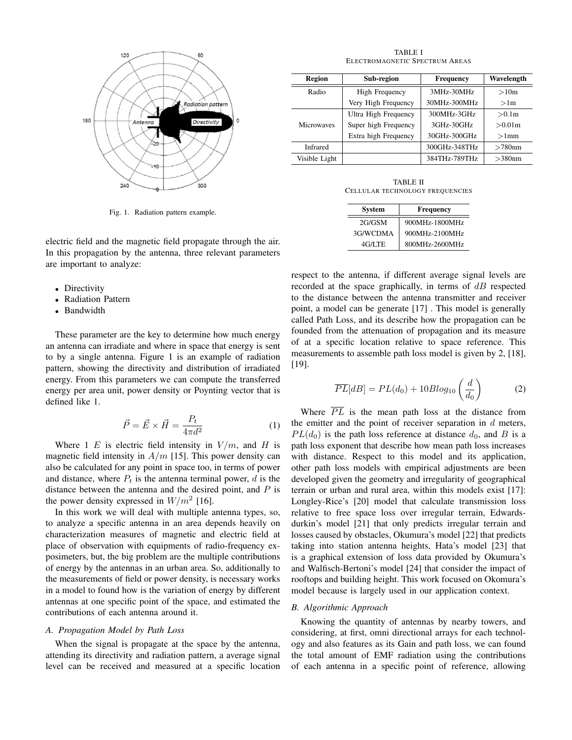

Fig. 1. Radiation pattern example.

electric field and the magnetic field propagate through the air. In this propagation by the antenna, three relevant parameters are important to analyze:

- Directivity
- Radiation Pattern
- Bandwidth

These parameter are the key to determine how much energy an antenna can irradiate and where in space that energy is sent to by a single antenna. Figure 1 is an example of radiation pattern, showing the directivity and distribution of irradiated energy. From this parameters we can compute the transferred energy per area unit, power density or Poynting vector that is defined like 1.

$$
\vec{P} = \vec{E} \times \vec{H} = \frac{P_t}{4\pi d^2} \tag{1}
$$

Where 1 E is electric field intensity in  $V/m$ , and H is magnetic field intensity in  $A/m$  [15]. This power density can also be calculated for any point in space too, in terms of power and distance, where  $P_t$  is the antenna terminal power, d is the distance between the antenna and the desired point, and  $P$  is the power density expressed in  $W/m^2$  [16].

In this work we will deal with multiple antenna types, so, to analyze a specific antenna in an area depends heavily on characterization measures of magnetic and electric field at place of observation with equipments of radio-frequency exposimeters, but, the big problem are the multiple contributions of energy by the antennas in an urban area. So, additionally to the measurements of field or power density, is necessary works in a model to found how is the variation of energy by different antennas at one specific point of the space, and estimated the contributions of each antenna around it.

# *A. Propagation Model by Path Loss*

When the signal is propagate at the space by the antenna, attending its directivity and radiation pattern, a average signal level can be received and measured at a specific location

TABLE I ELECTROMAGNETIC SPECTRUM AREAS

| Region            | Sub-region            | <b>Frequency</b> | Wavelength       |
|-------------------|-----------------------|------------------|------------------|
| Radio             | <b>High Frequency</b> | 3MHz-30MHz       | >10 <sub>m</sub> |
|                   | Very High Frequency   | 30MHz-300MHz     | >1 <sub>m</sub>  |
|                   | Ultra High Frequency  | 300MHz-3GHz      | > 0.1m           |
| <b>Microwaves</b> | Super high Frequency  | 3GHz-30GHz       | >0.01m           |
|                   | Extra high Frequency  | 30GHz-300GHz     | $>1$ mm          |
| Infrared          |                       | 300GHz-348THz    | $>780$ nm        |
| Visible Light     |                       | 384THz-789THz    | $>380$ nm        |

TABLE II CELLULAR TECHNOLOGY FREQUENCIES

| <b>System</b> | <b>Frequency</b> |  |
|---------------|------------------|--|
| 2G/GSM        | 900MHz-1800MHz   |  |
| 3G/WCDMA      | 900MHz-2100MHz   |  |
| 4G/LTE        | 800MHz-2600MHz   |  |

respect to the antenna, if different average signal levels are recorded at the space graphically, in terms of  $dB$  respected to the distance between the antenna transmitter and receiver point, a model can be generate [17] . This model is generally called Path Loss, and its describe how the propagation can be founded from the attenuation of propagation and its measure of at a specific location relative to space reference. This measurements to assemble path loss model is given by 2, [18], [19].

$$
\overline{PL}[dB] = PL(d_0) + 10Blog_{10}\left(\frac{d}{d_0}\right) \tag{2}
$$

Where  $\overline{PL}$  is the mean path loss at the distance from the emitter and the point of receiver separation in  $d$  meters,  $PL(d_0)$  is the path loss reference at distance  $d_0$ , and B is a path loss exponent that describe how mean path loss increases with distance. Respect to this model and its application, other path loss models with empirical adjustments are been developed given the geometry and irregularity of geographical terrain or urban and rural area, within this models exist [17]: Longley-Rice's [20] model that calculate transmission loss relative to free space loss over irregular terrain, Edwardsdurkin's model [21] that only predicts irregular terrain and losses caused by obstacles, Okumura's model [22] that predicts taking into station antenna heights, Hata's model [23] that is a graphical extension of loss data provided by Okumura's and Walfisch-Bertoni's model [24] that consider the impact of rooftops and building height. This work focused on Okomura's model because is largely used in our application context.

## *B. Algorithmic Approach*

Knowing the quantity of antennas by nearby towers, and considering, at first, omni directional arrays for each technology and also features as its Gain and path loss, we can found the total amount of EMF radiation using the contributions of each antenna in a specific point of reference, allowing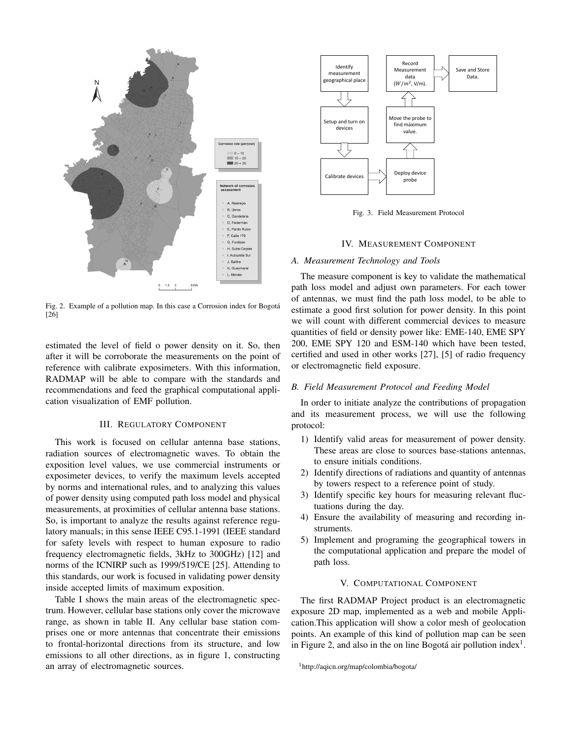

Fig. 2. Example of a pollution map. In this case a Corrosion index for Bogota´ [26]

estimated the level of field o power density on it. So, then after it will be corroborate the measurements on the point of reference with calibrate exposimeters. With this information, RADMAP will be able to compare with the standards and recommendations and feed the graphical computational application visualization of EMF pollution.

# III. REGULATORY COMPONENT

This work is focused on cellular antenna base stations, radiation sources of electromagnetic waves. To obtain the exposition level values, we use commercial instruments or exposimeter devices, to verify the maximum levels accepted by norms and international rules, and to analyzing this values of power density using computed path loss model and physical measurements, at proximities of cellular antenna base stations. So, is important to analyze the results against reference regulatory manuals; in this sense IEEE C95.1-1991 (IEEE standard for safety levels with respect to human exposure to radio frequency electromagnetic fields, 3kHz to 300GHz) [12] and norms of the ICNIRP such as 1999/519/CE [25]. Attending to this standards, our work is focused in validating power density inside accepted limits of maximum exposition.

Table I shows the main areas of the electromagnetic spectrum. However, cellular base stations only cover the microwave range, as shown in table II. Any cellular base station comprises one or more antennas that concentrate their emissions to frontal-horizontal directions from its structure, and low emissions to all other directions, as in figure 1, constructing an array of electromagnetic sources.



Fig. 3. Field Measurement Protocol

#### IV. MEASUREMENT COMPONENT

#### *A. Measurement Technology and Tools*

The measure component is key to validate the mathematical path loss model and adjust own parameters. For each tower of antennas, we must find the path loss model, to be able to estimate a good first solution for power density. In this point we will count with different commercial devices to measure quantities of field or density power like: EME-140, EME SPY 200, EME SPY 120 and ESM-140 which have been tested, certified and used in other works [27], [5] of radio frequency or electromagnetic field exposure.

#### *B. Field Measurement Protocol and Feeding Model*

In order to initiate analyze the contributions of propagation and its measurement process, we will use the following protocol:

- 1) Identify valid areas for measurement of power density. These areas are close to sources base-stations antennas, to ensure initials conditions.
- 2) Identify directions of radiations and quantity of antennas by towers respect to a reference point of study.
- 3) Identify specific key hours for measuring relevant fluctuations during the day.
- 4) Ensure the availability of measuring and recording instruments.
- 5) Implement and programing the geographical towers in the computational application and prepare the model of path loss.

#### V. COMPUTATIONAL COMPONENT

The first RADMAP Project product is an electromagnetic exposure 2D map, implemented as a web and mobile Application.This application will show a color mesh of geolocation points. An example of this kind of pollution map can be seen in Figure 2, and also in the on line Bogotá air pollution index<sup>1</sup>.

<sup>1</sup>http://aqicn.org/map/colombia/bogota/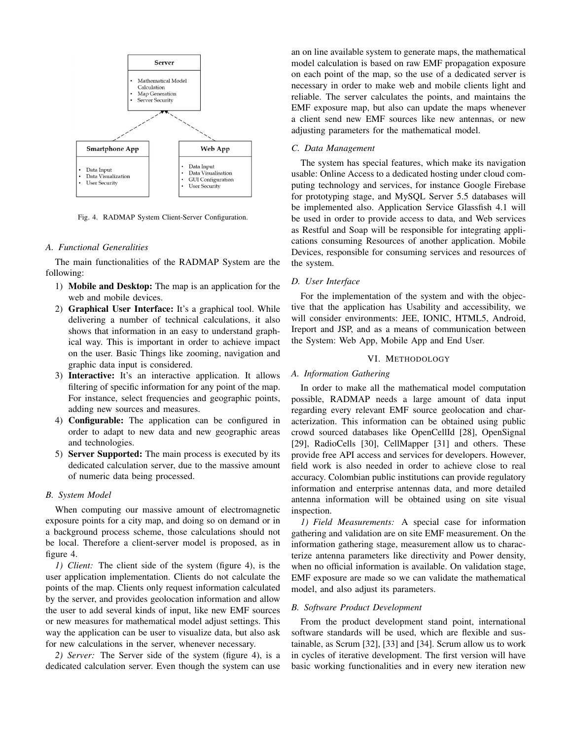

Fig. 4. RADMAP System Client-Server Configuration.

# *A. Functional Generalities*

The main functionalities of the RADMAP System are the following:

- 1) Mobile and Desktop: The map is an application for the web and mobile devices.
- 2) Graphical User Interface: It's a graphical tool. While delivering a number of technical calculations, it also shows that information in an easy to understand graphical way. This is important in order to achieve impact on the user. Basic Things like zooming, navigation and graphic data input is considered.
- 3) Interactive: It's an interactive application. It allows filtering of specific information for any point of the map. For instance, select frequencies and geographic points, adding new sources and measures.
- 4) Configurable: The application can be configured in order to adapt to new data and new geographic areas and technologies.
- 5) Server Supported: The main process is executed by its dedicated calculation server, due to the massive amount of numeric data being processed.

#### *B. System Model*

When computing our massive amount of electromagnetic exposure points for a city map, and doing so on demand or in a background process scheme, those calculations should not be local. Therefore a client-server model is proposed, as in figure 4.

*1) Client:* The client side of the system (figure 4), is the user application implementation. Clients do not calculate the points of the map. Clients only request information calculated by the server, and provides geolocation information and allow the user to add several kinds of input, like new EMF sources or new measures for mathematical model adjust settings. This way the application can be user to visualize data, but also ask for new calculations in the server, whenever necessary.

*2) Server:* The Server side of the system (figure 4), is a dedicated calculation server. Even though the system can use

an on line available system to generate maps, the mathematical model calculation is based on raw EMF propagation exposure on each point of the map, so the use of a dedicated server is necessary in order to make web and mobile clients light and reliable. The server calculates the points, and maintains the EMF exposure map, but also can update the maps whenever a client send new EMF sources like new antennas, or new adjusting parameters for the mathematical model.

#### *C. Data Management*

The system has special features, which make its navigation usable: Online Access to a dedicated hosting under cloud computing technology and services, for instance Google Firebase for prototyping stage, and MySQL Server 5.5 databases will be implemented also. Application Service Glassfish 4.1 will be used in order to provide access to data, and Web services as Restful and Soap will be responsible for integrating applications consuming Resources of another application. Mobile Devices, responsible for consuming services and resources of the system.

## *D. User Interface*

For the implementation of the system and with the objective that the application has Usability and accessibility, we will consider environments: JEE, IONIC, HTML5, Android, Ireport and JSP, and as a means of communication between the System: Web App, Mobile App and End User.

# VI. METHODOLOGY

#### *A. Information Gathering*

In order to make all the mathematical model computation possible, RADMAP needs a large amount of data input regarding every relevant EMF source geolocation and characterization. This information can be obtained using public crowd sourced databases like OpenCellId [28], OpenSignal [29], RadioCells [30], CellMapper [31] and others. These provide free API access and services for developers. However, field work is also needed in order to achieve close to real accuracy. Colombian public institutions can provide regulatory information and enterprise antennas data, and more detailed antenna information will be obtained using on site visual inspection.

*1) Field Measurements:* A special case for information gathering and validation are on site EMF measurement. On the information gathering stage, measurement allow us to characterize antenna parameters like directivity and Power density, when no official information is available. On validation stage, EMF exposure are made so we can validate the mathematical model, and also adjust its parameters.

#### *B. Software Product Development*

From the product development stand point, international software standards will be used, which are flexible and sustainable, as Scrum [32], [33] and [34]. Scrum allow us to work in cycles of iterative development. The first version will have basic working functionalities and in every new iteration new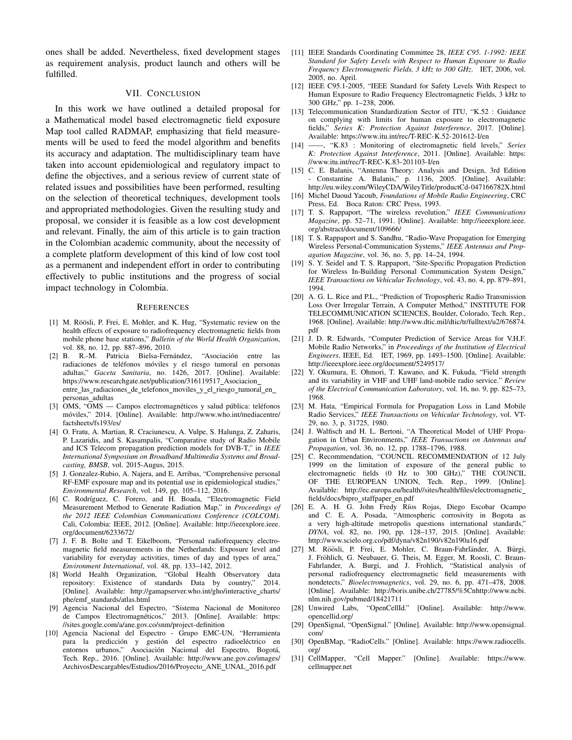ones shall be added. Nevertheless, fixed development stages as requirement analysis, product launch and others will be fulfilled.

### VII. CONCLUSION

In this work we have outlined a detailed proposal for a Mathematical model based electromagnetic field exposure Map tool called RADMAP, emphasizing that field measurements will be used to feed the model algorithm and benefits its accuracy and adaptation. The multidisciplinary team have taken into account epidemiological and regulatory impact to define the objectives, and a serious review of current state of related issues and possibilities have been performed, resulting on the selection of theoretical techniques, development tools and appropriated methodologies. Given the resulting study and proposal, we consider it is feasible as a low cost development and relevant. Finally, the aim of this article is to gain traction in the Colombian academic community, about the necessity of a complete platform development of this kind of low cost tool as a permanent and independent effort in order to contributing effectively to public institutions and the progress of social impact technology in Colombia.

#### **REFERENCES**

- [1] M. Röösli, P. Frei, E. Mohler, and K. Hug, "Systematic review on the health effects of exposure to radiofrequency electromagnetic fields from mobile phone base stations," *Bulletin of the World Health Organization*, vol. 88, no. 12, pp. 887–896, 2010.
- [2] B. R.-M. Patricia Bielsa-Fernández, "Asociación entre las radiaciones de teléfonos móviles y el riesgo tumoral en personas adultas," *Gaceta Sanitaria*, no. 1426, 2017. [Online]. Available: https://www.researchgate.net/publication/316119517\_Asociacion\_ entre\_las\_radiaciones\_de\_telefonos\_moviles\_y\_el\_riesgo\_tumoral\_en\_ personas adultas
- [3] OMS, "OMS Campos electromagnéticos y salud pública: teléfonos móviles," 2014. [Online]. Available: http://www.who.int/mediacentre/ factsheets/fs193/es/
- [4] O. Fratu, A. Martian, R. Craciunescu, A. Vulpe, S. Halunga, Z. Zaharis, P. Lazaridis, and S. Kasampalis, "Comparative study of Radio Mobile and ICS Telecom propagation prediction models for DVB-T," in *IEEE International Symposium on Broadband Multimedia Systems and Broadcasting, BMSB*, vol. 2015-Augus, 2015.
- [5] J. Gonzalez-Rubio, A. Najera, and E. Arribas, "Comprehensive personal RF-EMF exposure map and its potential use in epidemiological studies," *Environmental Research*, vol. 149, pp. 105–112, 2016.
- [6] C. Rodríguez, C. Forero, and H. Boada, "Electromagnetic Field Measurement Method to Generate Radiation Map," in *Proceedings of the 2012 IEEE Colombian Communications Conference (COLCOM)*. Cali, Colombia: IEEE, 2012. [Online]. Available: http://ieeexplore.ieee. org/document/6233672/
- [7] J. F. B. Bolte and T. Eikelboom, "Personal radiofrequency electromagnetic field measurements in the Netherlands: Exposure level and variability for everyday activities, times of day and types of area," *Environment International*, vol. 48, pp. 133–142, 2012.
- [8] World Health Organization, "Global Health Observatory data repository: Existence of standards Data by country," 2014. [Online]. Available: http://gamapserver.who.int/gho/interactive\_charts/ phe/emf standards/atlas.html
- [9] Agencia Nacional del Espectro, "Sistema Nacional de Monitoreo de Campos Electromagnéticos," 2013. [Online]. Available: https: //sites.google.com/a/ane.gov.co/snm/project-definition
- [10] Agencia Nacional del Espectro Grupo EMC-UN, "Herramienta para la predicción y gestión del espectro radioeléctrico en entornos urbanos," Asociación Nacional del Espectro, Bogotá, Tech. Rep., 2016. [Online]. Available: http://www.ane.gov.co/images/ ArchivosDescargables/Estudios/2016/Proyecto ANE UNAL 2016.pdf
- [11] IEEE Standards Coordinating Committee 28, *IEEE C95. 1-1992: IEEE Standard for Safety Levels with Respect to Human Exposure to Radio Frequency Electromagnetic Fields, 3 kHz to 300 GHz*. IET, 2006, vol. 2005, no. April.
- [12] IEEE C95.1-2005, "IEEE Standard for Safety Levels With Respect to Human Exposure to Radio Frequency Electromagnetic Fields, 3 kHz to 300 GHz," pp. 1–238, 2006.
- [13] Telecommunication Standardization Sector of ITU, "K.52 : Guidance on complying with limits for human exposure to electromagnetic fields," *Series K: Protection Against Interference*, 2017. [Online]. Available: https://www.itu.int/rec/T-REC-K.52-201612-I/en
- [14] ——, "K.83 : Monitoring of electromagnetic field levels," *Series K: Protection Against Interference*, 2011. [Online]. Available: https: //www.itu.int/rec/T-REC-K.83-201103-I/en
- [15] C. E. Balanis, "Antenna Theory: Analysis and Design, 3rd Edition - Constantine A. Balanis," p. 1136, 2005. [Online]. Available: http://eu.wiley.com/WileyCDA/WileyTitle/productCd-047166782X.html
- [16] Michel Daoud Yacoub, *Foundations of Mobile Radio Engineering*, CRC Press, Ed. Boca Raton: CRC Press, 1993.
- [17] T. S. Rappaport, "The wireless revolution," *IEEE Communications Magazine*, pp. 52–71, 1991. [Online]. Available: http://ieeexplore.ieee. org/abstract/document/109666/
- [18] T. S. Rappaport and S. Sandhu, "Radio-Wave Propagation for Emerging Wireless Personal-Communication Systems," *IEEE Antennas and Propagation Magazine*, vol. 36, no. 5, pp. 14–24, 1994.
- [19] S. Y. Seidel and T. S. Rappaport, "Site-Specific Propagation Prediction for Wireless In-Building Personal Communication System Design," *IEEE Transactions on Vehicular Technology*, vol. 43, no. 4, pp. 879–891, 1994.
- [20] A. G. L. Rice and P.L., "Prediction of Tropospheric Radio Transmission Loss Over Irregular Terrain, A Computer Method," INSTITUTE FOR TELECOMMUNICATION SCIENCES, Boulder, Colorado, Tech. Rep., 1968. [Online]. Available: http://www.dtic.mil/dtic/tr/fulltext/u2/676874. pdf
- [21] J. D. R. Edwards, "Computer Prediction of Service Areas for V.H.F. Mobile Radio Networks," in *Proceedings of the Institution of Electrical Engineers*, IEEE, Ed. IET, 1969, pp. 1493–1500. [Online]. Available: http://ieeexplore.ieee.org/document/5249517/
- [22] Y. Okumura, E. Ohmori, T. Kawano, and K. Fukuda, "Field strength and its variability in VHF and UHF land-mobile radio service." *Review of the Electrical Communication Laboratory*, vol. 16, no. 9, pp. 825–73, 1968.
- [23] M. Hata, "Empirical Formula for Propagation Loss in Land Mobile Radio Services," *IEEE Transactions on Vehicular Technology*, vol. VT-29, no. 3, p. 31725, 1980.
- [24] J. Walfisch and H. L. Bertoni, "A Theoretical Model of UHF Propagation in Urban Environments," *IEEE Transactions on Antennas and Propagation*, vol. 36, no. 12, pp. 1788–1796, 1988.
- [25] C. Recommendation, "COUNCIL RECOMMENDATION of 12 July 1999 on the limitation of exposure of the general public to electromagnetic fields (0 Hz to 300 GHz)," THE COUNCIL OF THE EUROPEAN UNION, Tech. Rep., 1999. [Online]. Available: http://ec.europa.eu/health//sites/health/files/electromagnetic fields/docs/bipro\_staffpaper\_en.pdf
- [26] E. A. H. G. John Fredy Ríos Rojas, Diego Escobar Ocampo and C. E. A. Posada, "Atmospheric corrosivity in Bogota as a very high-altitude metropolis questions international standards," *DYNA*, vol. 82, no. 190, pp. 128–137, 2015. [Online]. Available: http://www.scielo.org.co/pdf/dyna/v82n190/v82n190a16.pdf
- [27] M. Röösli, P. Frei, E. Mohler, C. Braun-Fahrländer, A. Bürgi, J. Fröhlich, G. Neubauer, G. Theis, M. Egger, M. Roosli, C. Braun-Fahrlander, A. Burgi, and J. Frohlich, "Statistical analysis of personal radiofrequency electromagnetic field measurements with nondetects," *Bioelectromagnetics*, vol. 29, no. 6, pp. 471–478, 2008. [Online]. Available: http://boris.unibe.ch/27785/%5Cnhttp://www.ncbi. nlm.nih.gov/pubmed/18421711
- [28] Unwired Labs, "OpenCellId." [Online]. Available: http://www. opencellid.org/
- [29] OpenSignal, "OpenSignal." [Online]. Available: http://www.opensignal. com/
- [30] OpenBMap, "RadioCells." [Online]. Available: https://www.radiocells. org/
- [31] CellMapper, "Cell Mapper." [Online]. Available: https://www. cellmapper.net